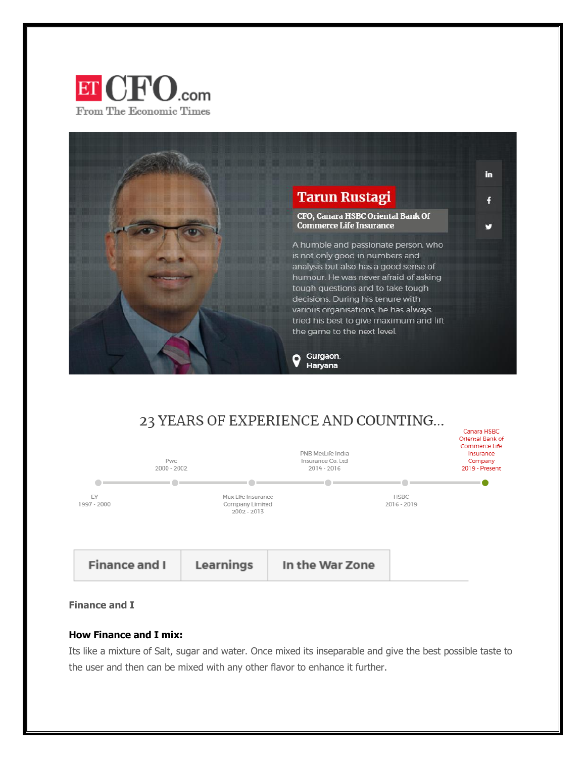



# 23 YEARS OF EXPERIENCE AND COUNTING...



# **Finance and I**

#### **How Finance and I mix:**

Its like a mixture of Salt, sugar and water. Once mixed its inseparable and give the best possible taste to the user and then can be mixed with any other flavor to enhance it further.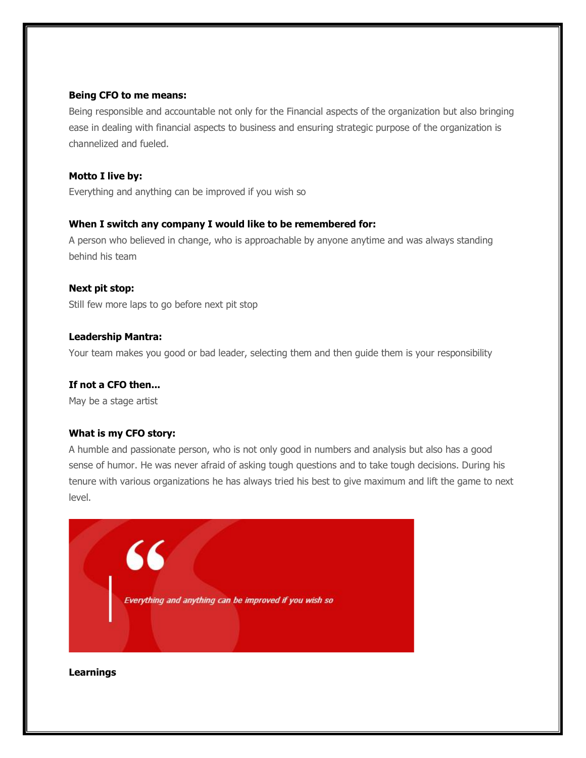## **Being CFO to me means:**

Being responsible and accountable not only for the Financial aspects of the organization but also bringing ease in dealing with financial aspects to business and ensuring strategic purpose of the organization is channelized and fueled.

# **Motto I live by:**

Everything and anything can be improved if you wish so

# **When I switch any company I would like to be remembered for:**

A person who believed in change, who is approachable by anyone anytime and was always standing behind his team

# **Next pit stop:**

Still few more laps to go before next pit stop

# **Leadership Mantra:**

Your team makes you good or bad leader, selecting them and then guide them is your responsibility

# **If not a CFO then...**

May be a stage artist

# **What is my CFO story:**

A humble and passionate person, who is not only good in numbers and analysis but also has a good sense of humor. He was never afraid of asking tough questions and to take tough decisions. During his tenure with various organizations he has always tried his best to give maximum and lift the game to next level.



# **Learnings**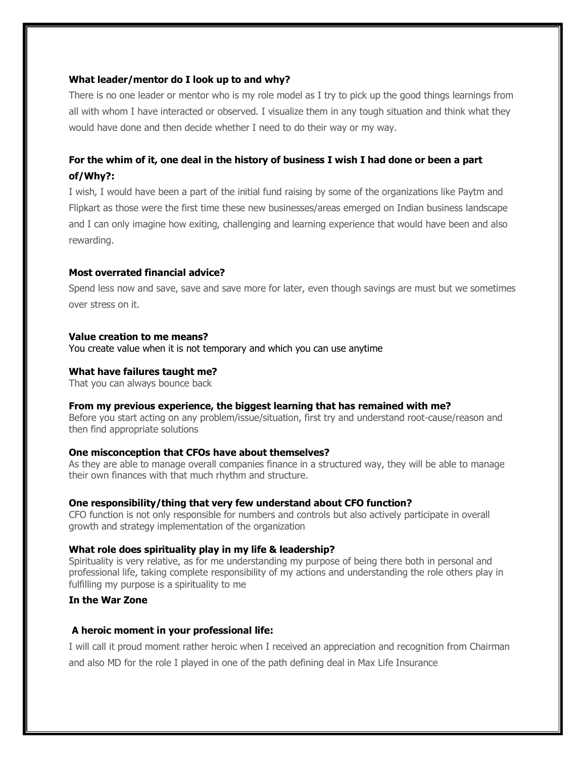#### **What leader/mentor do I look up to and why?**

There is no one leader or mentor who is my role model as I try to pick up the good things learnings from all with whom I have interacted or observed. I visualize them in any tough situation and think what they would have done and then decide whether I need to do their way or my way.

# For the whim of it, one deal in the history of business I wish I had done or been a part **of/Why?:**

I wish, I would have been a part of the initial fund raising by some of the organizations like Paytm and Flipkart as those were the first time these new businesses/areas emerged on Indian business landscape and I can only imagine how exiting, challenging and learning experience that would have been and also rewarding.

## **Most overrated financial advice?**

Spend less now and save, save and save more for later, even though savings are must but we sometimes over stress on it.

#### **Value creation to me means?**

You create value when it is not temporary and which you can use anytime

#### **What have failures taught me?**

That you can always bounce back

#### **From my previous experience, the biggest learning that has remained with me?**

Before you start acting on any problem/issue/situation, first try and understand root-cause/reason and then find appropriate solutions

#### **One misconception that CFOs have about themselves?**

As they are able to manage overall companies finance in a structured way, they will be able to manage their own finances with that much rhythm and structure.

#### **One responsibility/thing that very few understand about CFO function?**

CFO function is not only responsible for numbers and controls but also actively participate in overall growth and strategy implementation of the organization

#### **What role does spirituality play in my life & leadership?**

Spirituality is very relative, as for me understanding my purpose of being there both in personal and professional life, taking complete responsibility of my actions and understanding the role others play in fulfilling my purpose is a spirituality to me

# **In the War Zone**

#### **A heroic moment in your professional life:**

I will call it proud moment rather heroic when I received an appreciation and recognition from Chairman and also MD for the role I played in one of the path defining deal in Max Life Insurance